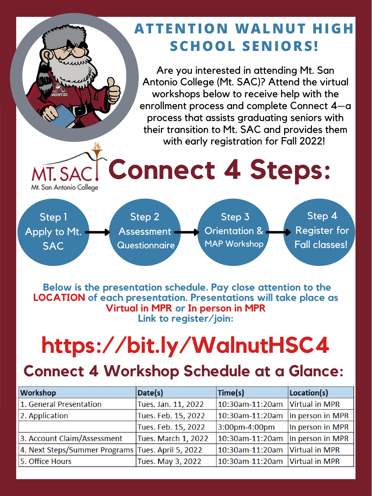# **Connect 4 Steps:**

Step 3 Orientation & MAP Workshop Step 1 Apply to Mt. **SAC** Step 2 **Assessment Questionnaire** Step 4 Register for Fall classes!

Mt. San Antonio College

Are you interested in attending Mt. San Antonio College (Mt. SAC)? Attend the virtual workshops below to receive help with the enrollment process and complete Connect 4—a process that assists graduating seniors with their transition to Mt. SAC and provides them with early registration for Fall 2022!

### **Connect 4 Workshop Schedule at a Glance:**

| $\vert$ 10:30am-11:20am $\vert$ Virtual in MPR |
|------------------------------------------------|
| In person in MPR                               |
| In person in MPR                               |
| In person in MPR                               |
| 10:30am-11:20am Virtual in MPR                 |
| 10:30am-11:20am  Virtual in MPR                |
|                                                |

**Below is the presentation schedule. Pay close attention to the LOCATION of each presentation. Presentations will take place as Virtual in MPR or In person in MPR Link to register/join:**

## **https://bit.ly/WalnutHSC4**

#### **ATTENTION WALNUT HIGH SCHOOL SENIORS!**